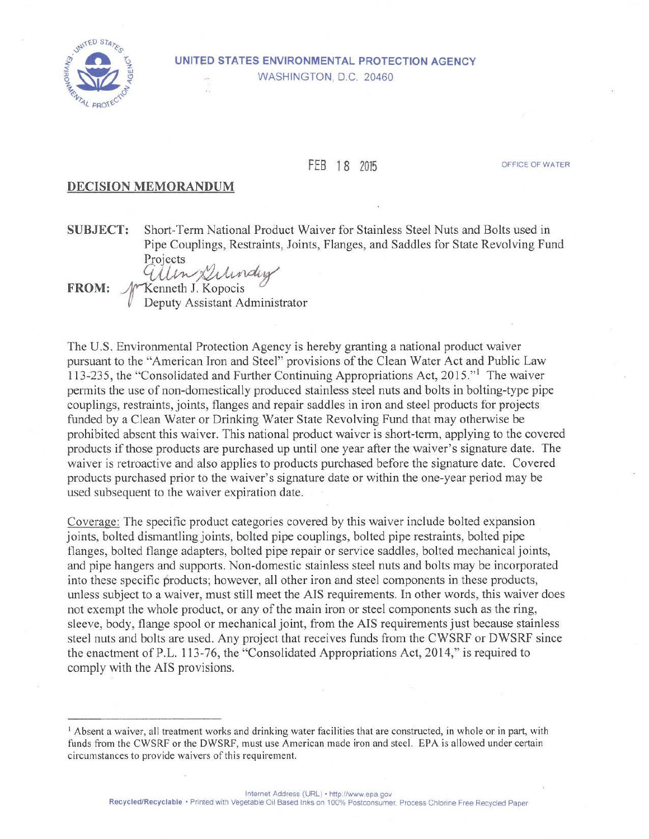

## **UNITED STATES ENVIRONMENTAL PROTECTION AGENCY**

WASHINGTON, D.C. 20460

## FEB 18 2015

OFFICE OF WATER

## **DECISION MEMORANDUM**

**SUBJECT:** Short-Term National Product Waiver for Stainless Steel Nuts and Bolts used in Pipe Couplings, Restraints, Joints, Flanges, and Saddles for State Revolving Fund Projects

FROM:  $\mathcal{N}$ Kenneth J. Kopocis Deputy Assistant Administrator

The U.S. Environmental Protection Agency is hereby granting a national product waiver pursuant to the "American Iron and Steel" provisions of the Clean Water Act and Public Law 113-235, the "Consolidated and Further Continuing Appropriations Act, 2015."<sup>1</sup> The waiver permits the use of non-domestically produced stainless steel nuts and bolts in bolting-type pipe couplings, restraints, joints, flanges and repair saddles in iron and steel products for projects funded by a Clean Water or Drinking Water State Revolving Fund that may otherwise be prohibited absent this waiver. This national product waiver is short-term, applying to the covered products if those products are purchased up until one year after the waiver's signature date. The waiver is retroactive and also applies to products purchased before the signature date. Covered products pmchased prior to the waiver's signature date or within the one-year period may be used subsequent to the waiver expiration date.

Coverage: The specific product categories covered by this waiver include bolted expansion joints, bolted dismantling joints, bolted pipe couplings, bolted pipe restraints, bolted pipe flanges, bolted flange adapters, bolted pipe repair or service saddles, bolted mechanical joints, and pipe hangers and supports. Non-domestic stainless steel nuts and bolts may be incorporated into these specific products; however, all other iron and steel components in these products, unless subject to a waiver, must still meet the AIS requirements. In other words, this waiver does not exempt the whole product, or any of the main iron or steel components such as the ring, sleeve, body, flange spool or mechanical joint, from the AIS requirements just because stainless steel nuts and bolts are used. Any project that receives funds from the CWSRF or DWSRF since the enactment of P.L. 113-76, the ''Consolidated Appropriations Act, 20 14," is required to comply with the AIS provisions.

<sup>1</sup> Absent a waiver, all treatment works and drinking water facilities that are constructed, in whole or in part, with funds from the CWSRF or the DWSRF, must use American made iron and steel. EPA is allowed under certain circumstances to provide waivers of this requirement.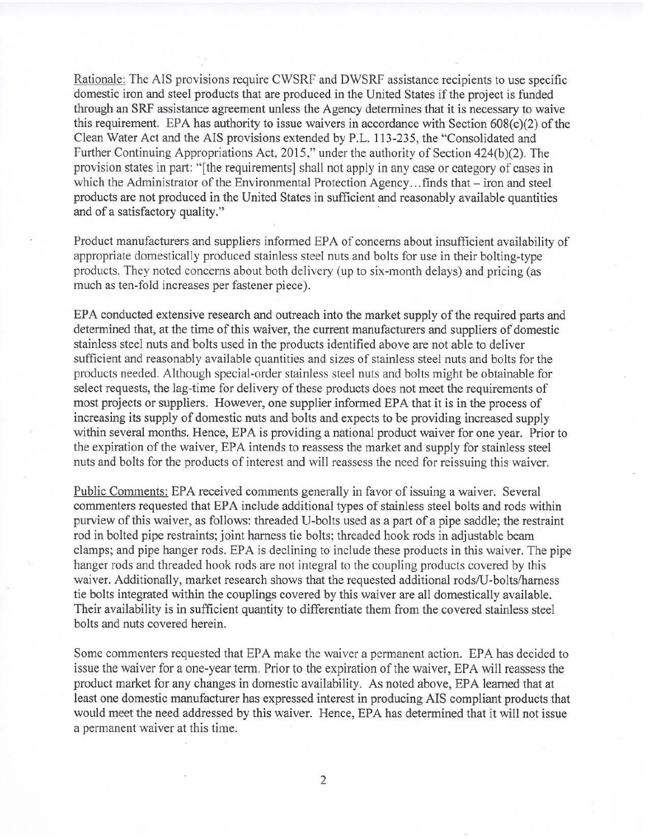Rationale: The AIS provisions require CWSRF and DWSRF assistance recipients to use specific domestic iron and steel products that are produced in the United States if the project is funded through an SRF assistance agreement unless the Agency determines that it is necessary to waive this requirement. EPA has authority to issue waivers in accordance with Section  $608(c)(2)$  of the Clean Water Act and the AIS provisions extended by P.L. 113-235, the "Consolidated and Further Continuing Appropriations Act, 2015," under the authority of Section 424(b)(2). The provision states in part: "[the requirements] shall not apply in any case or category of cases in which the Administrator of the Environmental Protection Agency...finds that – iron and steel products are not produced in the United States in sufficient and reasonably available quantities and of a satisfactory quality."

Product manufacturers and suppliers informed EPA of concerns about insufficient availability of appropriate domestically produced stainless steel nuts and bolts for use in their bolting-type products. They noted concerns about both delivery (up to six-month delays) and pricing (as much as ten-fold increases per fastener piece).

EPA conducted extensive research and outreach into the market supply of the required parts and determined that, at the time of this waiver, the current manufacturers and suppliers of domestic stainless steel nuts and bolts used in the products identified above are not able to deliver sufficient and reasonably available quantities and sizes of stainless steel nuts and bolts for the products needed. Although special-order stainless steel nuts and bolts might be obtainable for select requests, the lag-time for delivery of these products does not meet the requirements of most projects or suppliers. However, one supplier informed EPA that it is in the process of increasing its supply of domestic nuts and bolts and expects to be providing increased supply within several months. Hence, EPA is providing a national product waiver for one year. Prior to the expiration of the waiver, EPA intends to reassess the market and supply for stainless steel nuts and bolts for the products of interest and will reassess the need for reissuing this waiver.

Public Comments: EPA received comments generally in favor of issuing a waiver. Several commenters requested that EPA include additional types of stainless steel bolts and rods within purview of this waiver, as follows: threaded U-bolts used as a part of a pipe saddle; the restraint rod in bolted pipe restraints; joint harness tie bolts; threaded hook rods in adjustable beam clamps; and pipe hanger rods. EPA is declining to include these products in this waiver. The pipe hanger rods and threaded hook rods are not integral to the coupling products covered by this waiver. Additionaily, market research shows that the requested additional rods/U-bolts/harness tie bolts integrated within the couplings covered by this waiver are all domestically available. Their availability is in sufficient quantity to differentiate them from the covered stainless steel bolts and nuts covered herein.

Some commenters requested that EPA make the waiver a permanent action. EPA has decided to issue the waiver for a one-year term. Prior to the expiration of the waiver, EPA will reassess the product market for any changes in domestic availability. As noted above, EPA learned that at least one domestic manufacturer has expressed interest in producing AIS compliant products that would meet the need addressed by this waiver. Hence, EPA has determined that it will not issue a permanent waiver at this time.